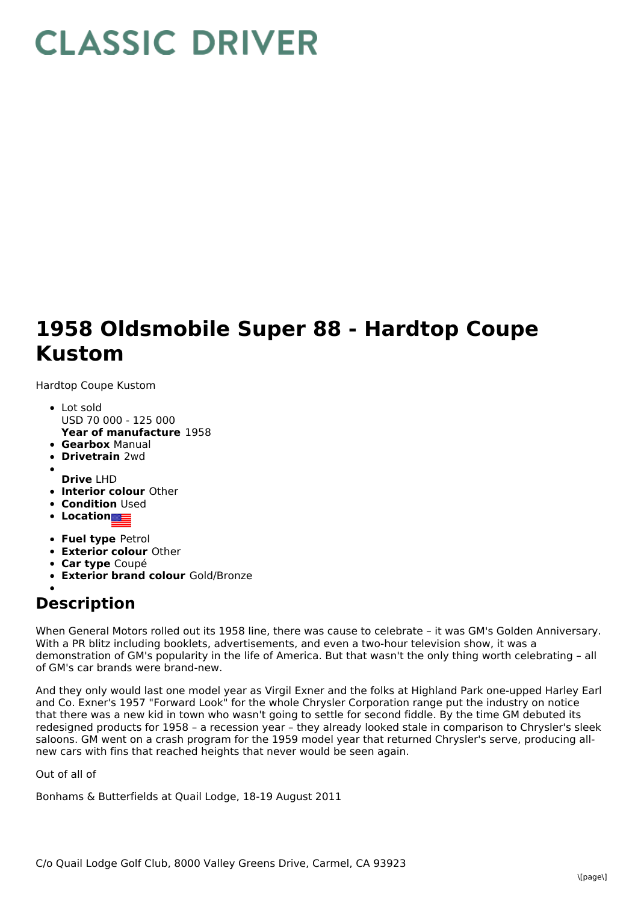## **CLASSIC DRIVER**

## **1958 Oldsmobile Super 88 - Hardtop Coupe Kustom**

Hardtop Coupe Kustom

- **Year of manufacture** 1958 Lot sold USD 70 000 - 125 000
- **Gearbox** Manual
- **Drivetrain** 2wd
- **Drive** LHD
- **Interior colour** Other
- **Condition** Used
- **•** Location
- **Fuel type** Petrol
- **Exterior colour** Other
- **Car type** Coupé
- **Exterior brand colour** Gold/Bronze

## **Description**

When General Motors rolled out its 1958 line, there was cause to celebrate – it was GM's Golden Anniversary. With a PR blitz including booklets, advertisements, and even a two-hour television show, it was a demonstration of GM's popularity in the life of America. But that wasn't the only thing worth celebrating – all of GM's car brands were brand-new.

And they only would last one model year as Virgil Exner and the folks at Highland Park one-upped Harley Earl and Co. Exner's 1957 "Forward Look" for the whole Chrysler Corporation range put the industry on notice that there was a new kid in town who wasn't going to settle for second fiddle. By the time GM debuted its redesigned products for 1958 – a recession year – they already looked stale in comparison to Chrysler's sleek saloons. GM went on a crash program for the 1959 model year that returned Chrysler's serve, producing allnew cars with fins that reached heights that never would be seen again.

Out of all of

Bonhams & Butterfields at Quail Lodge, 18-19 August 2011